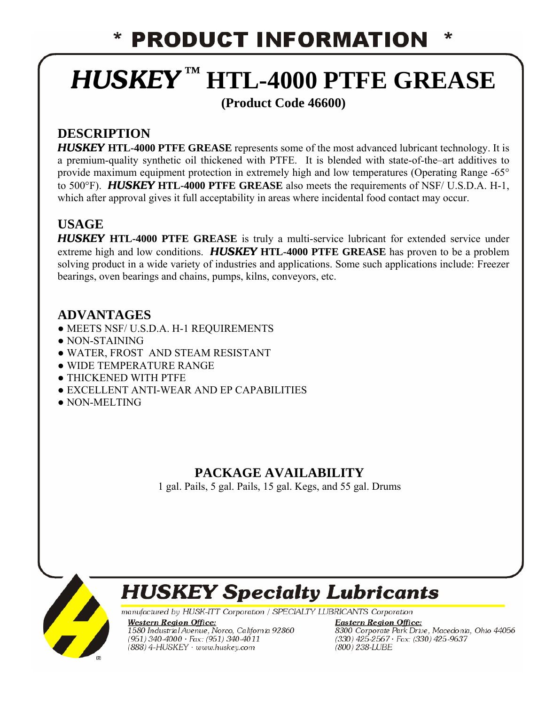## **PRODUCT INFORMATION**

# *HUSKEY* **™ HTL-4000 PTFE GREASE**

#### **(Product Code 46600)**

### **DESCRIPTION**

*HUSKEY* **HTL-4000 PTFE GREASE** represents some of the most advanced lubricant technology. It is a premium-quality synthetic oil thickened with PTFE. It is blended with state-of-the–art additives to provide maximum equipment protection in extremely high and low temperatures (Operating Range -65° to 500°F). *HUSKEY* **HTL-4000 PTFE GREASE** also meets the requirements of NSF/ U.S.D.A. H-1, which after approval gives it full acceptability in areas where incidental food contact may occur.

#### **USAGE**

*HUSKEY* **HTL-4000 PTFE GREASE** is truly a multi-service lubricant for extended service under extreme high and low conditions. *HUSKEY* **HTL-4000 PTFE GREASE** has proven to be a problem solving product in a wide variety of industries and applications. Some such applications include: Freezer bearings, oven bearings and chains, pumps, kilns, conveyors, etc.

#### **ADVANTAGES**

- MEETS NSF/ U.S.D.A. H-1 REQUIREMENTS
- $\bullet$  NON-STAINING
- WATER, FROST AND STEAM RESISTANT
- WIDE TEMPERATURE RANGE
- THICKENED WITH PTFE
- EXCELLENT ANTI-WEAR AND EP CAPABILITIES
- NON-MELTING

#### **PACKAGE AVAILABILITY**

1 gal. Pails, 5 gal. Pails, 15 gal. Kegs, and 55 gal. Drums



## **HUSKEY Specialty Lubricants**

manufactured by HUSK-ITT Corporation / SPECIALTY LUBRICANTS Corporation

**Western Region Office:** 1580 Industrial Avenue, Norco, California 92860  $(951)$  340-4000 · Fax:  $(951)$  340-4011 (888) 4-HUSKEY · www.huskey.com

**Eastern Region Office: Eusein Region Office.**<br>8300 Corporate Park Drive, Macedonia, Ohio 44056<br>(330) 425-2567 · Fax: (330) 425-9637<br>(800) 238-LUBE